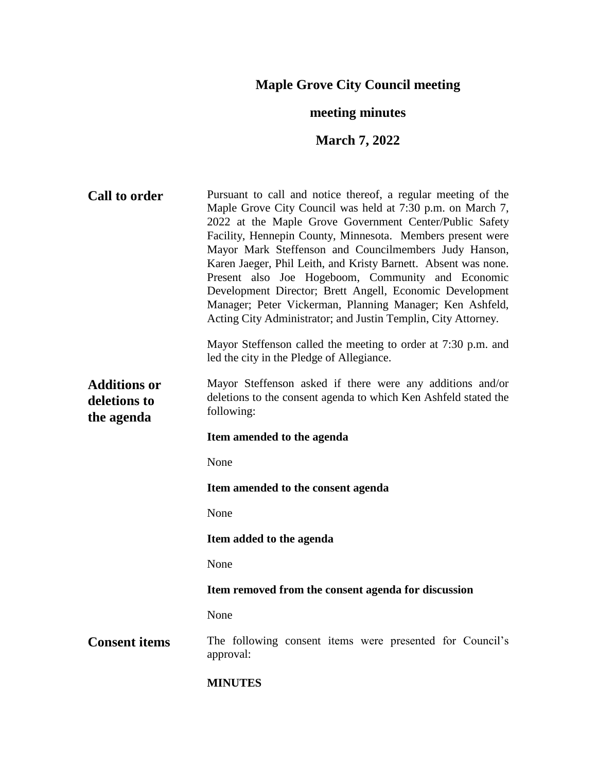# **Maple Grove City Council meeting**

## **meeting minutes**

## **March 7, 2022**

| <b>Call to order</b>                              | Pursuant to call and notice thereof, a regular meeting of the<br>Maple Grove City Council was held at 7:30 p.m. on March 7,<br>2022 at the Maple Grove Government Center/Public Safety<br>Facility, Hennepin County, Minnesota. Members present were<br>Mayor Mark Steffenson and Councilmembers Judy Hanson,<br>Karen Jaeger, Phil Leith, and Kristy Barnett. Absent was none.<br>Present also Joe Hogeboom, Community and Economic<br>Development Director; Brett Angell, Economic Development<br>Manager; Peter Vickerman, Planning Manager; Ken Ashfeld,<br>Acting City Administrator; and Justin Templin, City Attorney. |
|---------------------------------------------------|-------------------------------------------------------------------------------------------------------------------------------------------------------------------------------------------------------------------------------------------------------------------------------------------------------------------------------------------------------------------------------------------------------------------------------------------------------------------------------------------------------------------------------------------------------------------------------------------------------------------------------|
|                                                   | Mayor Steffenson called the meeting to order at 7:30 p.m. and<br>led the city in the Pledge of Allegiance.                                                                                                                                                                                                                                                                                                                                                                                                                                                                                                                    |
| <b>Additions or</b><br>deletions to<br>the agenda | Mayor Steffenson asked if there were any additions and/or<br>deletions to the consent agenda to which Ken Ashfeld stated the<br>following:                                                                                                                                                                                                                                                                                                                                                                                                                                                                                    |
|                                                   | Item amended to the agenda                                                                                                                                                                                                                                                                                                                                                                                                                                                                                                                                                                                                    |
|                                                   | None                                                                                                                                                                                                                                                                                                                                                                                                                                                                                                                                                                                                                          |
|                                                   | Item amended to the consent agenda                                                                                                                                                                                                                                                                                                                                                                                                                                                                                                                                                                                            |
|                                                   | None                                                                                                                                                                                                                                                                                                                                                                                                                                                                                                                                                                                                                          |
|                                                   | Item added to the agenda                                                                                                                                                                                                                                                                                                                                                                                                                                                                                                                                                                                                      |
|                                                   | None                                                                                                                                                                                                                                                                                                                                                                                                                                                                                                                                                                                                                          |
|                                                   | Item removed from the consent agenda for discussion                                                                                                                                                                                                                                                                                                                                                                                                                                                                                                                                                                           |
|                                                   | None                                                                                                                                                                                                                                                                                                                                                                                                                                                                                                                                                                                                                          |
| <b>Consent items</b>                              | The following consent items were presented for Council's<br>approval:                                                                                                                                                                                                                                                                                                                                                                                                                                                                                                                                                         |
|                                                   | <b>MINUTES</b>                                                                                                                                                                                                                                                                                                                                                                                                                                                                                                                                                                                                                |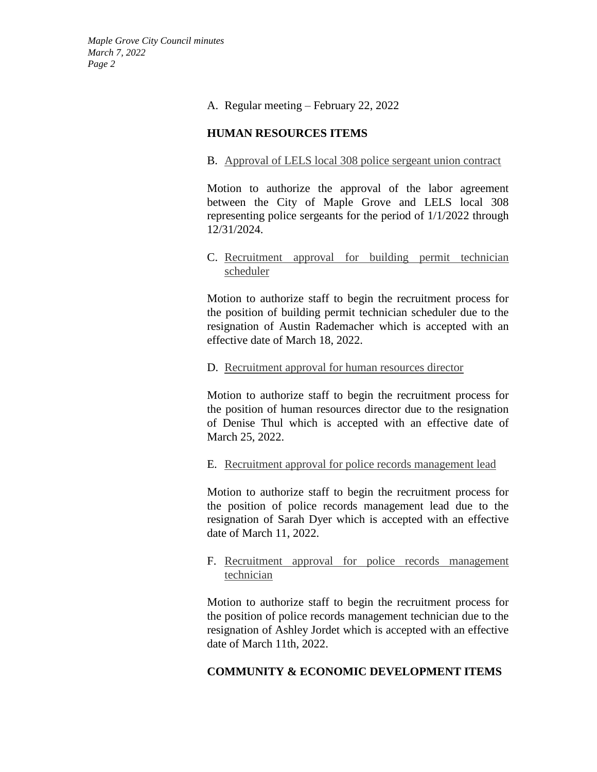#### A. Regular meeting – February 22, 2022

## **HUMAN RESOURCES ITEMS**

### B. Approval of LELS local 308 police sergeant union contract

Motion to authorize the approval of the labor agreement between the City of Maple Grove and LELS local 308 representing police sergeants for the period of 1/1/2022 through 12/31/2024.

## C. Recruitment approval for building permit technician scheduler

Motion to authorize staff to begin the recruitment process for the position of building permit technician scheduler due to the resignation of Austin Rademacher which is accepted with an effective date of March 18, 2022.

## D. Recruitment approval for human resources director

Motion to authorize staff to begin the recruitment process for the position of human resources director due to the resignation of Denise Thul which is accepted with an effective date of March 25, 2022.

#### E. Recruitment approval for police records management lead

Motion to authorize staff to begin the recruitment process for the position of police records management lead due to the resignation of Sarah Dyer which is accepted with an effective date of March 11, 2022.

### F. Recruitment approval for police records management technician

Motion to authorize staff to begin the recruitment process for the position of police records management technician due to the resignation of Ashley Jordet which is accepted with an effective date of March 11th, 2022.

## **COMMUNITY & ECONOMIC DEVELOPMENT ITEMS**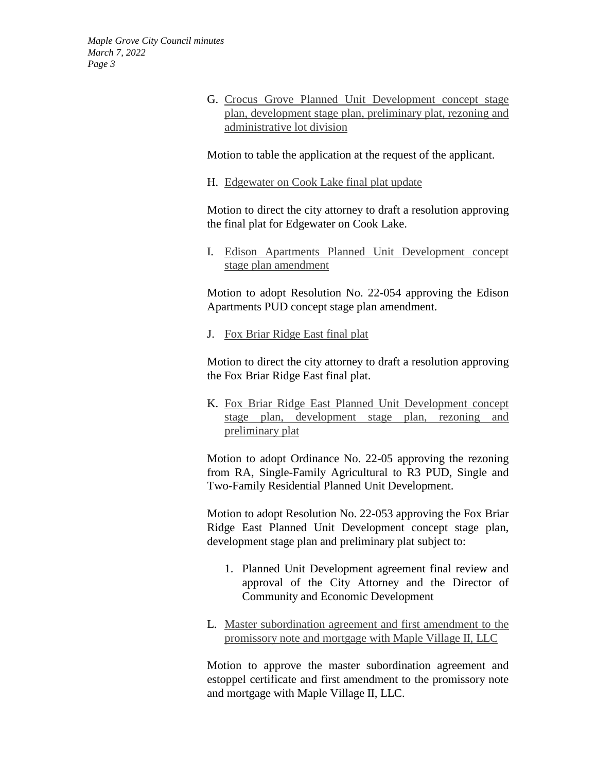> G. Crocus Grove Planned Unit Development concept stage plan, development stage plan, preliminary plat, rezoning and administrative lot division

Motion to table the application at the request of the applicant.

H. Edgewater on Cook Lake final plat update

Motion to direct the city attorney to draft a resolution approving the final plat for Edgewater on Cook Lake.

I. Edison Apartments Planned Unit Development concept stage plan amendment

Motion to adopt Resolution No. 22-054 approving the Edison Apartments PUD concept stage plan amendment.

J. Fox Briar Ridge East final plat

Motion to direct the city attorney to draft a resolution approving the Fox Briar Ridge East final plat.

K. Fox Briar Ridge East Planned Unit Development concept stage plan, development stage plan, rezoning and preliminary plat

Motion to adopt Ordinance No. 22-05 approving the rezoning from RA, Single-Family Agricultural to R3 PUD, Single and Two-Family Residential Planned Unit Development.

Motion to adopt Resolution No. 22-053 approving the Fox Briar Ridge East Planned Unit Development concept stage plan, development stage plan and preliminary plat subject to:

- 1. Planned Unit Development agreement final review and approval of the City Attorney and the Director of Community and Economic Development
- L. Master subordination agreement and first amendment to the promissory note and mortgage with Maple Village II, LLC

Motion to approve the master subordination agreement and estoppel certificate and first amendment to the promissory note and mortgage with Maple Village II, LLC.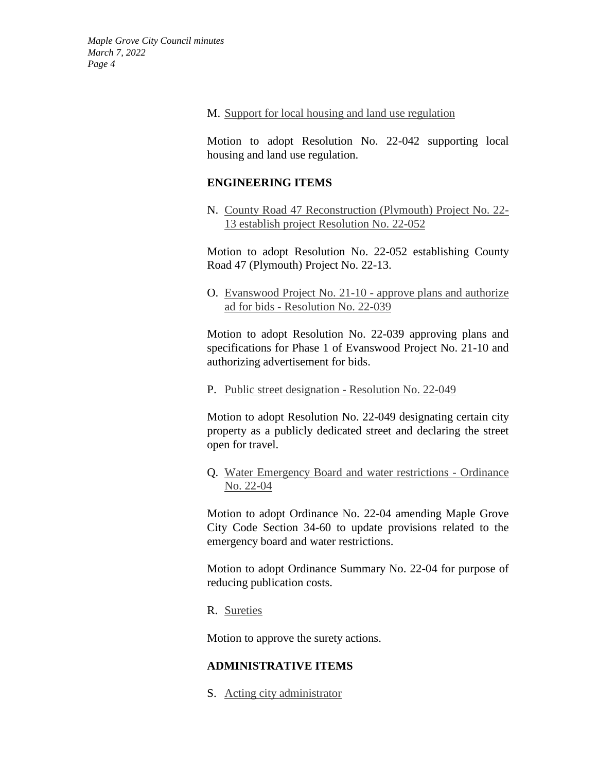#### M. Support for local housing and land use regulation

Motion to adopt Resolution No. 22-042 supporting local housing and land use regulation.

#### **ENGINEERING ITEMS**

N. County Road 47 Reconstruction (Plymouth) Project No. 22- 13 establish project Resolution No. 22-052

Motion to adopt Resolution No. 22-052 establishing County Road 47 (Plymouth) Project No. 22-13.

O. Evanswood Project No. 21-10 - approve plans and authorize ad for bids - Resolution No. 22-039

Motion to adopt Resolution No. 22-039 approving plans and specifications for Phase 1 of Evanswood Project No. 21-10 and authorizing advertisement for bids.

P. Public street designation - Resolution No. 22-049

Motion to adopt Resolution No. 22-049 designating certain city property as a publicly dedicated street and declaring the street open for travel.

Q. Water Emergency Board and water restrictions - Ordinance No. 22-04

Motion to adopt Ordinance No. 22-04 amending Maple Grove City Code Section 34-60 to update provisions related to the emergency board and water restrictions.

Motion to adopt Ordinance Summary No. 22-04 for purpose of reducing publication costs.

R. Sureties

Motion to approve the surety actions.

## **ADMINISTRATIVE ITEMS**

S. Acting city administrator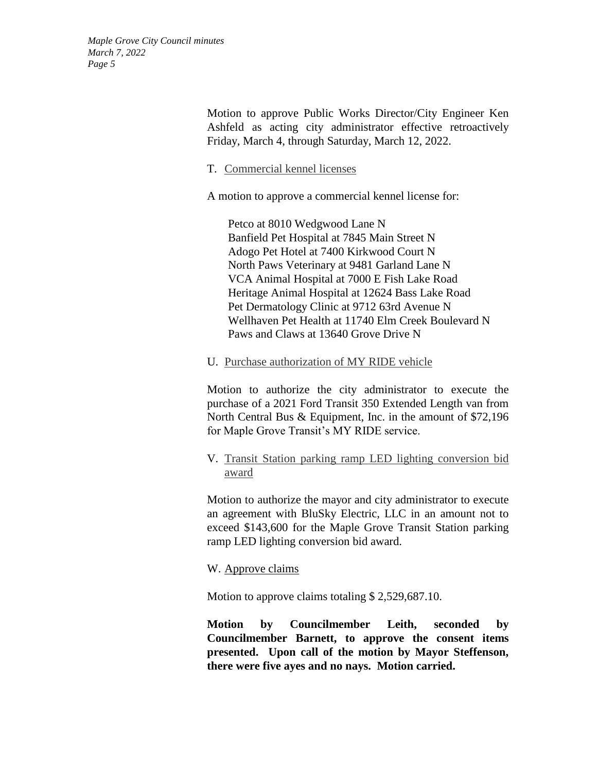> Motion to approve Public Works Director/City Engineer Ken Ashfeld as acting city administrator effective retroactively Friday, March 4, through Saturday, March 12, 2022.

#### T. Commercial kennel licenses

A motion to approve a commercial kennel license for:

Petco at 8010 Wedgwood Lane N Banfield Pet Hospital at 7845 Main Street N Adogo Pet Hotel at 7400 Kirkwood Court N North Paws Veterinary at 9481 Garland Lane N VCA Animal Hospital at 7000 E Fish Lake Road Heritage Animal Hospital at 12624 Bass Lake Road Pet Dermatology Clinic at 9712 63rd Avenue N Wellhaven Pet Health at 11740 Elm Creek Boulevard N Paws and Claws at 13640 Grove Drive N

#### U. Purchase authorization of MY RIDE vehicle

Motion to authorize the city administrator to execute the purchase of a 2021 Ford Transit 350 Extended Length van from North Central Bus & Equipment, Inc. in the amount of \$72,196 for Maple Grove Transit's MY RIDE service.

### V. Transit Station parking ramp LED lighting conversion bid award

Motion to authorize the mayor and city administrator to execute an agreement with BluSky Electric, LLC in an amount not to exceed \$143,600 for the Maple Grove Transit Station parking ramp LED lighting conversion bid award.

#### W. Approve claims

Motion to approve claims totaling \$ 2,529,687.10.

**Motion by Councilmember Leith, seconded by Councilmember Barnett, to approve the consent items presented. Upon call of the motion by Mayor Steffenson, there were five ayes and no nays. Motion carried.**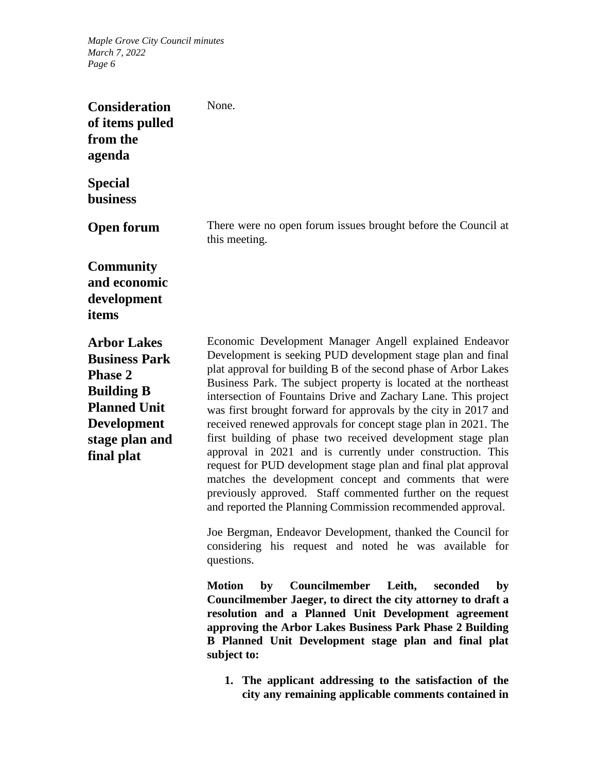| <b>Consideration</b><br>of items pulled<br>from the<br>agenda                                                                                                  | None.                                                                                                                                                                                                                                                                                                                                                                                                                                                                                                                                                                                                                                                                                                                                                                                                                                                    |
|----------------------------------------------------------------------------------------------------------------------------------------------------------------|----------------------------------------------------------------------------------------------------------------------------------------------------------------------------------------------------------------------------------------------------------------------------------------------------------------------------------------------------------------------------------------------------------------------------------------------------------------------------------------------------------------------------------------------------------------------------------------------------------------------------------------------------------------------------------------------------------------------------------------------------------------------------------------------------------------------------------------------------------|
| <b>Special</b><br><b>business</b>                                                                                                                              |                                                                                                                                                                                                                                                                                                                                                                                                                                                                                                                                                                                                                                                                                                                                                                                                                                                          |
| <b>Open forum</b>                                                                                                                                              | There were no open forum issues brought before the Council at<br>this meeting.                                                                                                                                                                                                                                                                                                                                                                                                                                                                                                                                                                                                                                                                                                                                                                           |
| <b>Community</b><br>and economic<br>development<br>items                                                                                                       |                                                                                                                                                                                                                                                                                                                                                                                                                                                                                                                                                                                                                                                                                                                                                                                                                                                          |
| <b>Arbor Lakes</b><br><b>Business Park</b><br><b>Phase 2</b><br><b>Building B</b><br><b>Planned Unit</b><br><b>Development</b><br>stage plan and<br>final plat | Economic Development Manager Angell explained Endeavor<br>Development is seeking PUD development stage plan and final<br>plat approval for building B of the second phase of Arbor Lakes<br>Business Park. The subject property is located at the northeast<br>intersection of Fountains Drive and Zachary Lane. This project<br>was first brought forward for approvals by the city in 2017 and<br>received renewed approvals for concept stage plan in 2021. The<br>first building of phase two received development stage plan<br>approval in 2021 and is currently under construction. This<br>request for PUD development stage plan and final plat approval<br>matches the development concept and comments that were<br>previously approved. Staff commented further on the request<br>and reported the Planning Commission recommended approval. |
|                                                                                                                                                                | Joe Bergman, Endeavor Development, thanked the Council for<br>considering his request and noted he was available for<br>questions.                                                                                                                                                                                                                                                                                                                                                                                                                                                                                                                                                                                                                                                                                                                       |
|                                                                                                                                                                | Councilmember Leith,<br><b>Motion</b><br>by<br>seconded<br>by<br>Councilmember Jaeger, to direct the city attorney to draft a<br>resolution and a Planned Unit Development agreement<br>approving the Arbor Lakes Business Park Phase 2 Building<br>B Planned Unit Development stage plan and final plat<br>subject to:                                                                                                                                                                                                                                                                                                                                                                                                                                                                                                                                  |
|                                                                                                                                                                | 1. The applicant addressing to the satisfaction of the<br>city any remaining applicable comments contained in                                                                                                                                                                                                                                                                                                                                                                                                                                                                                                                                                                                                                                                                                                                                            |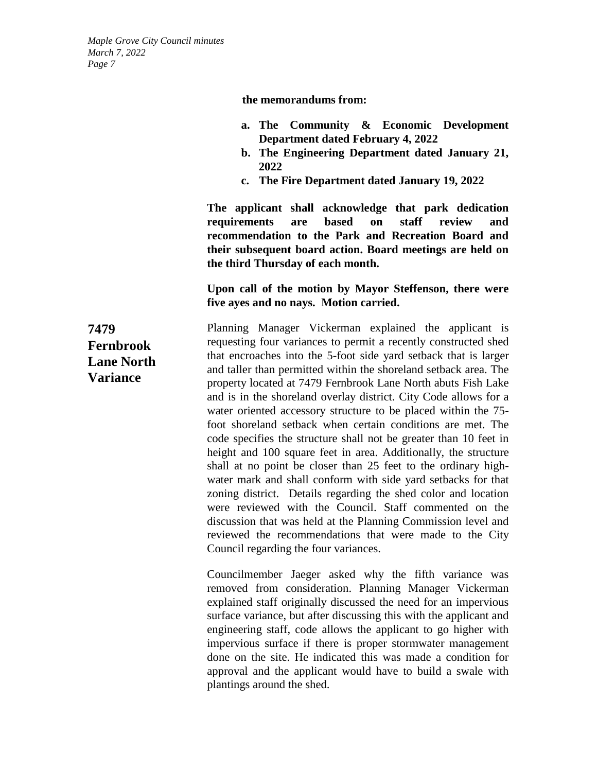**the memorandums from:** 

- **a. The Community & Economic Development Department dated February 4, 2022**
- **b. The Engineering Department dated January 21, 2022**
- **c. The Fire Department dated January 19, 2022**

**The applicant shall acknowledge that park dedication requirements are based on staff review and recommendation to the Park and Recreation Board and their subsequent board action. Board meetings are held on the third Thursday of each month.**

## **Upon call of the motion by Mayor Steffenson, there were five ayes and no nays. Motion carried.**

Planning Manager Vickerman explained the applicant is requesting four variances to permit a recently constructed shed that encroaches into the 5-foot side yard setback that is larger and taller than permitted within the shoreland setback area. The property located at 7479 Fernbrook Lane North abuts Fish Lake and is in the shoreland overlay district. City Code allows for a water oriented accessory structure to be placed within the 75 foot shoreland setback when certain conditions are met. The code specifies the structure shall not be greater than 10 feet in height and 100 square feet in area. Additionally, the structure shall at no point be closer than 25 feet to the ordinary highwater mark and shall conform with side yard setbacks for that zoning district. Details regarding the shed color and location were reviewed with the Council. Staff commented on the discussion that was held at the Planning Commission level and reviewed the recommendations that were made to the City Council regarding the four variances.

> Councilmember Jaeger asked why the fifth variance was removed from consideration. Planning Manager Vickerman explained staff originally discussed the need for an impervious surface variance, but after discussing this with the applicant and engineering staff, code allows the applicant to go higher with impervious surface if there is proper stormwater management done on the site. He indicated this was made a condition for approval and the applicant would have to build a swale with plantings around the shed.

**7479 Fernbrook Lane North Variance**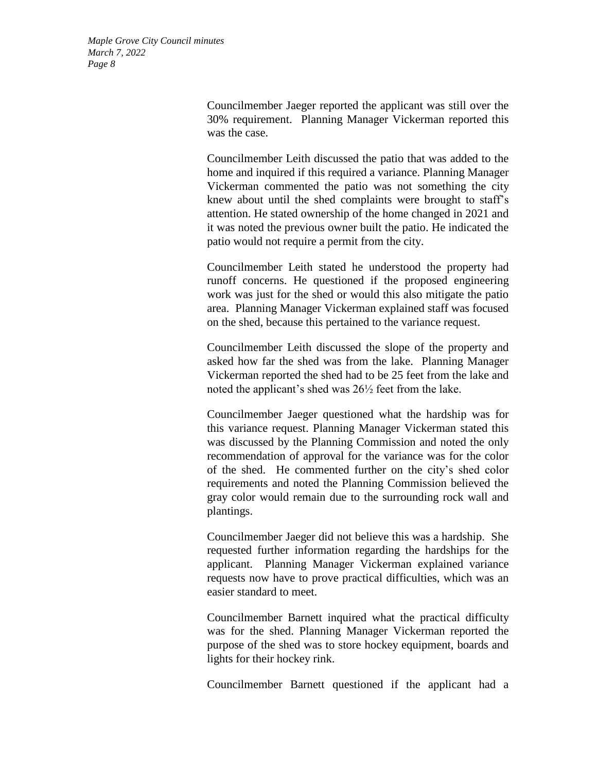> Councilmember Jaeger reported the applicant was still over the 30% requirement. Planning Manager Vickerman reported this was the case.

> Councilmember Leith discussed the patio that was added to the home and inquired if this required a variance. Planning Manager Vickerman commented the patio was not something the city knew about until the shed complaints were brought to staff's attention. He stated ownership of the home changed in 2021 and it was noted the previous owner built the patio. He indicated the patio would not require a permit from the city.

> Councilmember Leith stated he understood the property had runoff concerns. He questioned if the proposed engineering work was just for the shed or would this also mitigate the patio area. Planning Manager Vickerman explained staff was focused on the shed, because this pertained to the variance request.

> Councilmember Leith discussed the slope of the property and asked how far the shed was from the lake. Planning Manager Vickerman reported the shed had to be 25 feet from the lake and noted the applicant's shed was 26½ feet from the lake.

> Councilmember Jaeger questioned what the hardship was for this variance request. Planning Manager Vickerman stated this was discussed by the Planning Commission and noted the only recommendation of approval for the variance was for the color of the shed. He commented further on the city's shed color requirements and noted the Planning Commission believed the gray color would remain due to the surrounding rock wall and plantings.

> Councilmember Jaeger did not believe this was a hardship. She requested further information regarding the hardships for the applicant. Planning Manager Vickerman explained variance requests now have to prove practical difficulties, which was an easier standard to meet.

> Councilmember Barnett inquired what the practical difficulty was for the shed. Planning Manager Vickerman reported the purpose of the shed was to store hockey equipment, boards and lights for their hockey rink.

> Councilmember Barnett questioned if the applicant had a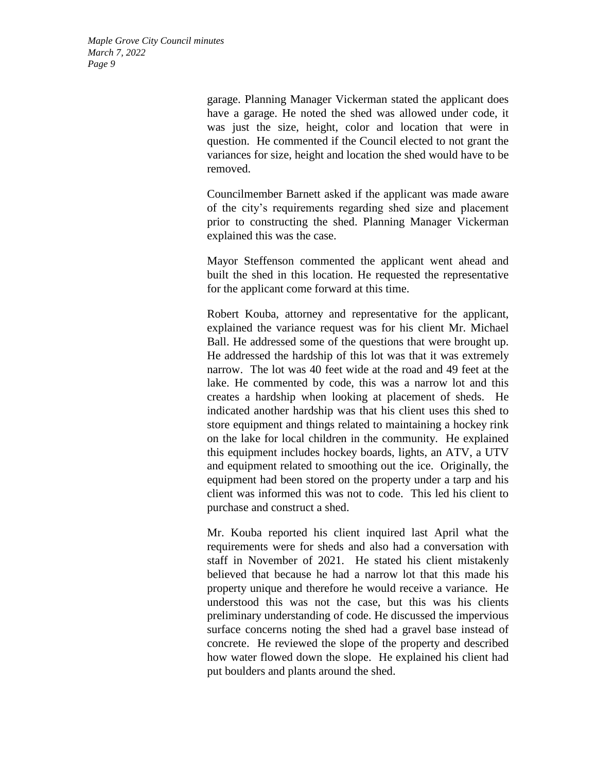> garage. Planning Manager Vickerman stated the applicant does have a garage. He noted the shed was allowed under code, it was just the size, height, color and location that were in question. He commented if the Council elected to not grant the variances for size, height and location the shed would have to be removed.

> Councilmember Barnett asked if the applicant was made aware of the city's requirements regarding shed size and placement prior to constructing the shed. Planning Manager Vickerman explained this was the case.

> Mayor Steffenson commented the applicant went ahead and built the shed in this location. He requested the representative for the applicant come forward at this time.

> Robert Kouba, attorney and representative for the applicant, explained the variance request was for his client Mr. Michael Ball. He addressed some of the questions that were brought up. He addressed the hardship of this lot was that it was extremely narrow. The lot was 40 feet wide at the road and 49 feet at the lake. He commented by code, this was a narrow lot and this creates a hardship when looking at placement of sheds. He indicated another hardship was that his client uses this shed to store equipment and things related to maintaining a hockey rink on the lake for local children in the community. He explained this equipment includes hockey boards, lights, an ATV, a UTV and equipment related to smoothing out the ice. Originally, the equipment had been stored on the property under a tarp and his client was informed this was not to code. This led his client to purchase and construct a shed.

> Mr. Kouba reported his client inquired last April what the requirements were for sheds and also had a conversation with staff in November of 2021. He stated his client mistakenly believed that because he had a narrow lot that this made his property unique and therefore he would receive a variance. He understood this was not the case, but this was his clients preliminary understanding of code. He discussed the impervious surface concerns noting the shed had a gravel base instead of concrete. He reviewed the slope of the property and described how water flowed down the slope. He explained his client had put boulders and plants around the shed.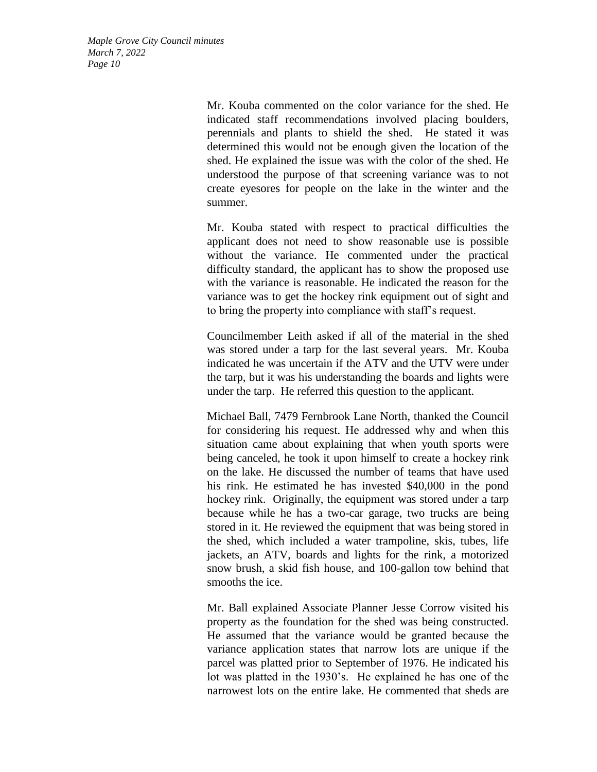> Mr. Kouba commented on the color variance for the shed. He indicated staff recommendations involved placing boulders, perennials and plants to shield the shed. He stated it was determined this would not be enough given the location of the shed. He explained the issue was with the color of the shed. He understood the purpose of that screening variance was to not create eyesores for people on the lake in the winter and the summer.

> Mr. Kouba stated with respect to practical difficulties the applicant does not need to show reasonable use is possible without the variance. He commented under the practical difficulty standard, the applicant has to show the proposed use with the variance is reasonable. He indicated the reason for the variance was to get the hockey rink equipment out of sight and to bring the property into compliance with staff's request.

> Councilmember Leith asked if all of the material in the shed was stored under a tarp for the last several years. Mr. Kouba indicated he was uncertain if the ATV and the UTV were under the tarp, but it was his understanding the boards and lights were under the tarp. He referred this question to the applicant.

> Michael Ball, 7479 Fernbrook Lane North, thanked the Council for considering his request. He addressed why and when this situation came about explaining that when youth sports were being canceled, he took it upon himself to create a hockey rink on the lake. He discussed the number of teams that have used his rink. He estimated he has invested \$40,000 in the pond hockey rink. Originally, the equipment was stored under a tarp because while he has a two-car garage, two trucks are being stored in it. He reviewed the equipment that was being stored in the shed, which included a water trampoline, skis, tubes, life jackets, an ATV, boards and lights for the rink, a motorized snow brush, a skid fish house, and 100-gallon tow behind that smooths the ice.

> Mr. Ball explained Associate Planner Jesse Corrow visited his property as the foundation for the shed was being constructed. He assumed that the variance would be granted because the variance application states that narrow lots are unique if the parcel was platted prior to September of 1976. He indicated his lot was platted in the 1930's. He explained he has one of the narrowest lots on the entire lake. He commented that sheds are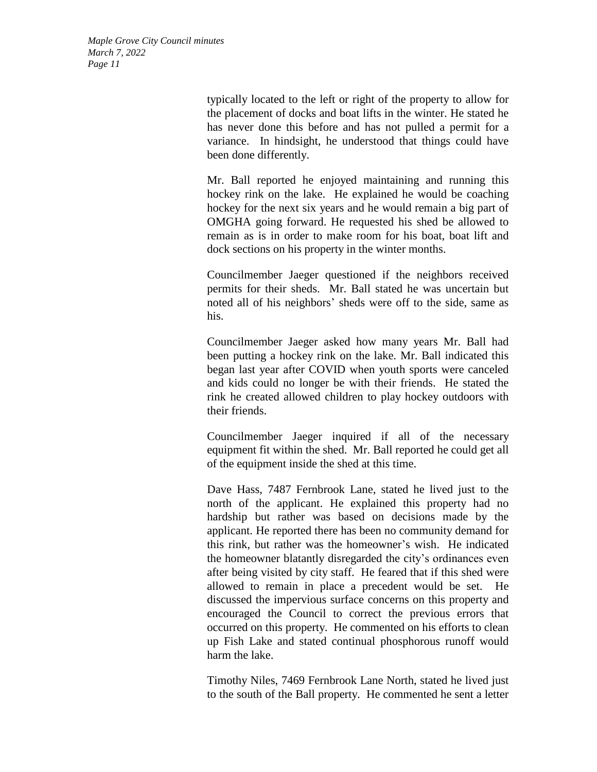> typically located to the left or right of the property to allow for the placement of docks and boat lifts in the winter. He stated he has never done this before and has not pulled a permit for a variance. In hindsight, he understood that things could have been done differently.

> Mr. Ball reported he enjoyed maintaining and running this hockey rink on the lake. He explained he would be coaching hockey for the next six years and he would remain a big part of OMGHA going forward. He requested his shed be allowed to remain as is in order to make room for his boat, boat lift and dock sections on his property in the winter months.

> Councilmember Jaeger questioned if the neighbors received permits for their sheds. Mr. Ball stated he was uncertain but noted all of his neighbors' sheds were off to the side, same as his.

> Councilmember Jaeger asked how many years Mr. Ball had been putting a hockey rink on the lake. Mr. Ball indicated this began last year after COVID when youth sports were canceled and kids could no longer be with their friends. He stated the rink he created allowed children to play hockey outdoors with their friends.

> Councilmember Jaeger inquired if all of the necessary equipment fit within the shed. Mr. Ball reported he could get all of the equipment inside the shed at this time.

> Dave Hass, 7487 Fernbrook Lane, stated he lived just to the north of the applicant. He explained this property had no hardship but rather was based on decisions made by the applicant. He reported there has been no community demand for this rink, but rather was the homeowner's wish. He indicated the homeowner blatantly disregarded the city's ordinances even after being visited by city staff. He feared that if this shed were allowed to remain in place a precedent would be set. He discussed the impervious surface concerns on this property and encouraged the Council to correct the previous errors that occurred on this property. He commented on his efforts to clean up Fish Lake and stated continual phosphorous runoff would harm the lake.

> Timothy Niles, 7469 Fernbrook Lane North, stated he lived just to the south of the Ball property. He commented he sent a letter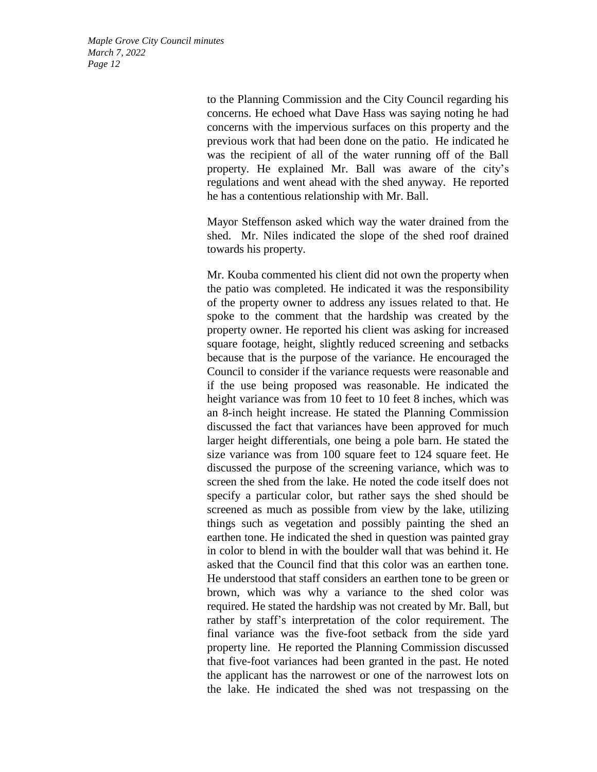> to the Planning Commission and the City Council regarding his concerns. He echoed what Dave Hass was saying noting he had concerns with the impervious surfaces on this property and the previous work that had been done on the patio. He indicated he was the recipient of all of the water running off of the Ball property. He explained Mr. Ball was aware of the city's regulations and went ahead with the shed anyway. He reported he has a contentious relationship with Mr. Ball.

> Mayor Steffenson asked which way the water drained from the shed. Mr. Niles indicated the slope of the shed roof drained towards his property.

> Mr. Kouba commented his client did not own the property when the patio was completed. He indicated it was the responsibility of the property owner to address any issues related to that. He spoke to the comment that the hardship was created by the property owner. He reported his client was asking for increased square footage, height, slightly reduced screening and setbacks because that is the purpose of the variance. He encouraged the Council to consider if the variance requests were reasonable and if the use being proposed was reasonable. He indicated the height variance was from 10 feet to 10 feet 8 inches, which was an 8-inch height increase. He stated the Planning Commission discussed the fact that variances have been approved for much larger height differentials, one being a pole barn. He stated the size variance was from 100 square feet to 124 square feet. He discussed the purpose of the screening variance, which was to screen the shed from the lake. He noted the code itself does not specify a particular color, but rather says the shed should be screened as much as possible from view by the lake, utilizing things such as vegetation and possibly painting the shed an earthen tone. He indicated the shed in question was painted gray in color to blend in with the boulder wall that was behind it. He asked that the Council find that this color was an earthen tone. He understood that staff considers an earthen tone to be green or brown, which was why a variance to the shed color was required. He stated the hardship was not created by Mr. Ball, but rather by staff's interpretation of the color requirement. The final variance was the five-foot setback from the side yard property line. He reported the Planning Commission discussed that five-foot variances had been granted in the past. He noted the applicant has the narrowest or one of the narrowest lots on the lake. He indicated the shed was not trespassing on the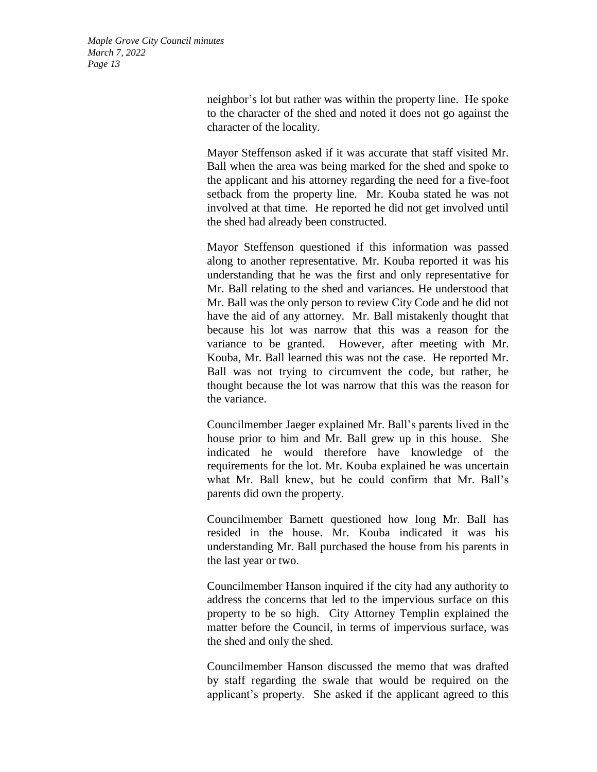> neighbor's lot but rather was within the property line. He spoke to the character of the shed and noted it does not go against the character of the locality.

> Mayor Steffenson asked if it was accurate that staff visited Mr. Ball when the area was being marked for the shed and spoke to the applicant and his attorney regarding the need for a five-foot setback from the property line. Mr. Kouba stated he was not involved at that time. He reported he did not get involved until the shed had already been constructed.

> Mayor Steffenson questioned if this information was passed along to another representative. Mr. Kouba reported it was his understanding that he was the first and only representative for Mr. Ball relating to the shed and variances. He understood that Mr. Ball was the only person to review City Code and he did not have the aid of any attorney. Mr. Ball mistakenly thought that because his lot was narrow that this was a reason for the variance to be granted. However, after meeting with Mr. Kouba, Mr. Ball learned this was not the case. He reported Mr. Ball was not trying to circumvent the code, but rather, he thought because the lot was narrow that this was the reason for the variance.

> Councilmember Jaeger explained Mr. Ball's parents lived in the house prior to him and Mr. Ball grew up in this house. She indicated he would therefore have knowledge of the requirements for the lot. Mr. Kouba explained he was uncertain what Mr. Ball knew, but he could confirm that Mr. Ball's parents did own the property.

> Councilmember Barnett questioned how long Mr. Ball has resided in the house. Mr. Kouba indicated it was his understanding Mr. Ball purchased the house from his parents in the last year or two.

> Councilmember Hanson inquired if the city had any authority to address the concerns that led to the impervious surface on this property to be so high. City Attorney Templin explained the matter before the Council, in terms of impervious surface, was the shed and only the shed.

> Councilmember Hanson discussed the memo that was drafted by staff regarding the swale that would be required on the applicant's property. She asked if the applicant agreed to this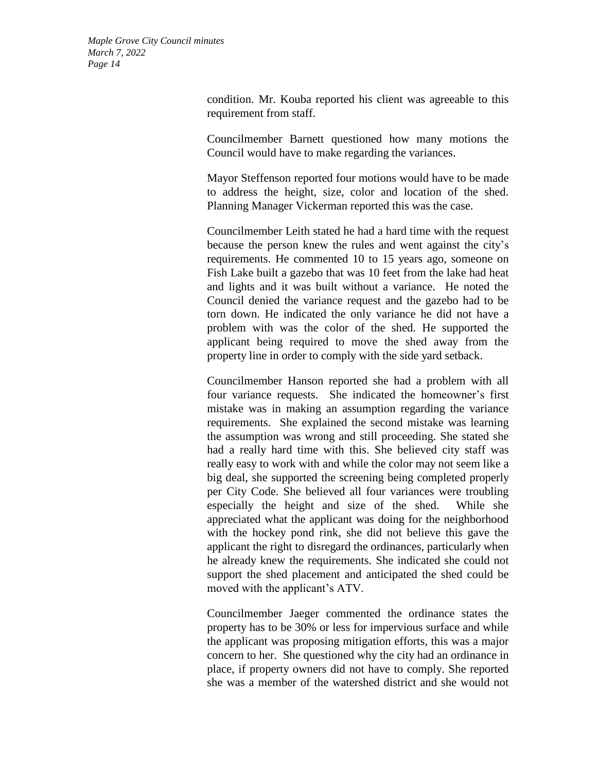> condition. Mr. Kouba reported his client was agreeable to this requirement from staff.

> Councilmember Barnett questioned how many motions the Council would have to make regarding the variances.

> Mayor Steffenson reported four motions would have to be made to address the height, size, color and location of the shed. Planning Manager Vickerman reported this was the case.

> Councilmember Leith stated he had a hard time with the request because the person knew the rules and went against the city's requirements. He commented 10 to 15 years ago, someone on Fish Lake built a gazebo that was 10 feet from the lake had heat and lights and it was built without a variance. He noted the Council denied the variance request and the gazebo had to be torn down. He indicated the only variance he did not have a problem with was the color of the shed. He supported the applicant being required to move the shed away from the property line in order to comply with the side yard setback.

> Councilmember Hanson reported she had a problem with all four variance requests. She indicated the homeowner's first mistake was in making an assumption regarding the variance requirements. She explained the second mistake was learning the assumption was wrong and still proceeding. She stated she had a really hard time with this. She believed city staff was really easy to work with and while the color may not seem like a big deal, she supported the screening being completed properly per City Code. She believed all four variances were troubling especially the height and size of the shed. While she appreciated what the applicant was doing for the neighborhood with the hockey pond rink, she did not believe this gave the applicant the right to disregard the ordinances, particularly when he already knew the requirements. She indicated she could not support the shed placement and anticipated the shed could be moved with the applicant's ATV.

> Councilmember Jaeger commented the ordinance states the property has to be 30% or less for impervious surface and while the applicant was proposing mitigation efforts, this was a major concern to her. She questioned why the city had an ordinance in place, if property owners did not have to comply. She reported she was a member of the watershed district and she would not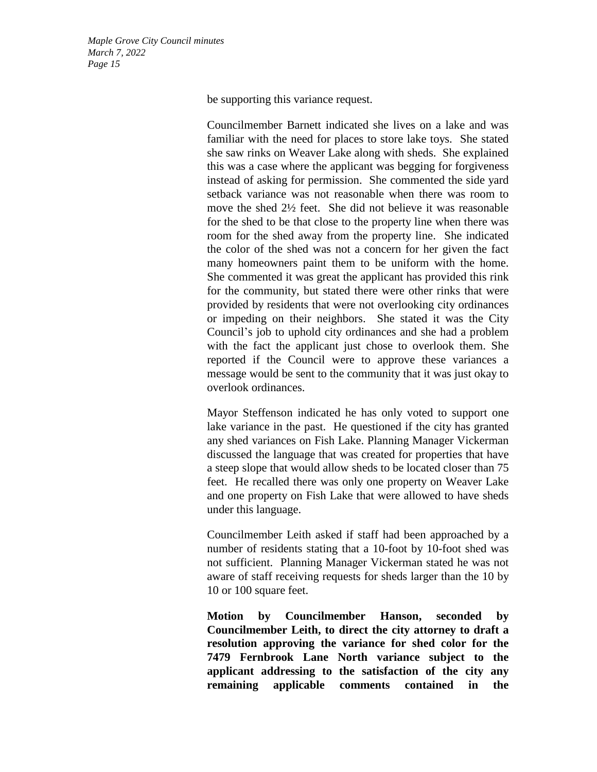be supporting this variance request.

Councilmember Barnett indicated she lives on a lake and was familiar with the need for places to store lake toys. She stated she saw rinks on Weaver Lake along with sheds. She explained this was a case where the applicant was begging for forgiveness instead of asking for permission. She commented the side yard setback variance was not reasonable when there was room to move the shed 2½ feet. She did not believe it was reasonable for the shed to be that close to the property line when there was room for the shed away from the property line. She indicated the color of the shed was not a concern for her given the fact many homeowners paint them to be uniform with the home. She commented it was great the applicant has provided this rink for the community, but stated there were other rinks that were provided by residents that were not overlooking city ordinances or impeding on their neighbors. She stated it was the City Council's job to uphold city ordinances and she had a problem with the fact the applicant just chose to overlook them. She reported if the Council were to approve these variances a message would be sent to the community that it was just okay to overlook ordinances.

Mayor Steffenson indicated he has only voted to support one lake variance in the past. He questioned if the city has granted any shed variances on Fish Lake. Planning Manager Vickerman discussed the language that was created for properties that have a steep slope that would allow sheds to be located closer than 75 feet. He recalled there was only one property on Weaver Lake and one property on Fish Lake that were allowed to have sheds under this language.

Councilmember Leith asked if staff had been approached by a number of residents stating that a 10-foot by 10-foot shed was not sufficient. Planning Manager Vickerman stated he was not aware of staff receiving requests for sheds larger than the 10 by 10 or 100 square feet.

**Motion by Councilmember Hanson, seconded by Councilmember Leith, to direct the city attorney to draft a resolution approving the variance for shed color for the 7479 Fernbrook Lane North variance subject to the applicant addressing to the satisfaction of the city any remaining applicable comments contained in the**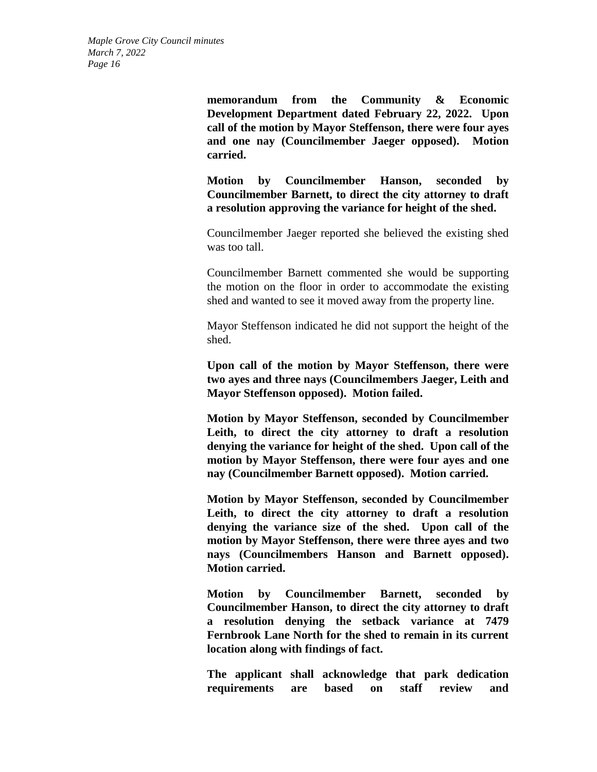> **memorandum from the Community & Economic Development Department dated February 22, 2022. Upon call of the motion by Mayor Steffenson, there were four ayes and one nay (Councilmember Jaeger opposed). Motion carried.**

> **Motion by Councilmember Hanson, seconded by Councilmember Barnett, to direct the city attorney to draft a resolution approving the variance for height of the shed.**

> Councilmember Jaeger reported she believed the existing shed was too tall.

> Councilmember Barnett commented she would be supporting the motion on the floor in order to accommodate the existing shed and wanted to see it moved away from the property line.

> Mayor Steffenson indicated he did not support the height of the shed.

> **Upon call of the motion by Mayor Steffenson, there were two ayes and three nays (Councilmembers Jaeger, Leith and Mayor Steffenson opposed). Motion failed.**

> **Motion by Mayor Steffenson, seconded by Councilmember Leith, to direct the city attorney to draft a resolution denying the variance for height of the shed. Upon call of the motion by Mayor Steffenson, there were four ayes and one nay (Councilmember Barnett opposed). Motion carried.**

> **Motion by Mayor Steffenson, seconded by Councilmember Leith, to direct the city attorney to draft a resolution denying the variance size of the shed. Upon call of the motion by Mayor Steffenson, there were three ayes and two nays (Councilmembers Hanson and Barnett opposed). Motion carried.**

> **Motion by Councilmember Barnett, seconded by Councilmember Hanson, to direct the city attorney to draft a resolution denying the setback variance at 7479 Fernbrook Lane North for the shed to remain in its current location along with findings of fact.**

> **The applicant shall acknowledge that park dedication requirements are based on staff review and**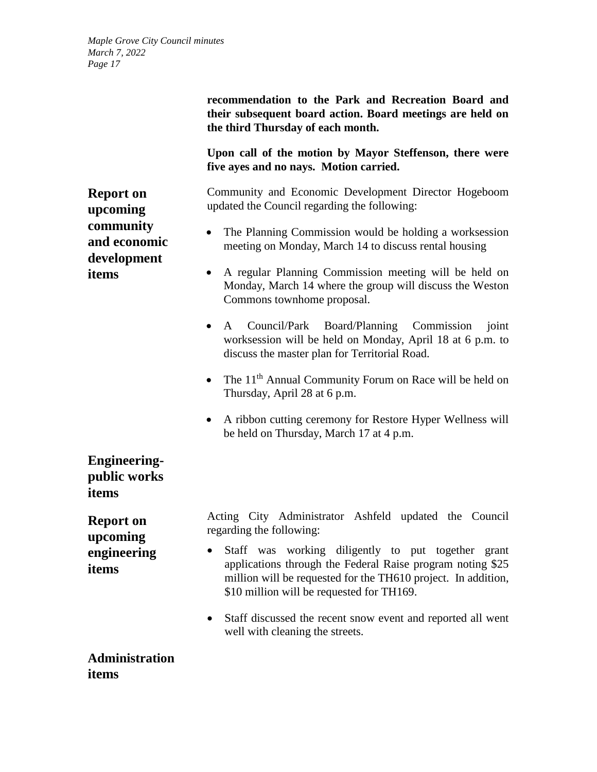**Report on upcoming community and economic development** 

**items**

**recommendation to the Park and Recreation Board and their subsequent board action. Board meetings are held on the third Thursday of each month.**

**Upon call of the motion by Mayor Steffenson, there were five ayes and no nays. Motion carried.**

Community and Economic Development Director Hogeboom updated the Council regarding the following:

- The Planning Commission would be holding a worksession meeting on Monday, March 14 to discuss rental housing
- A regular Planning Commission meeting will be held on Monday, March 14 where the group will discuss the Weston Commons townhome proposal.
- A Council/Park Board/Planning Commission joint worksession will be held on Monday, April 18 at 6 p.m. to discuss the master plan for Territorial Road.
- The  $11<sup>th</sup>$  Annual Community Forum on Race will be held on Thursday, April 28 at 6 p.m.
- A ribbon cutting ceremony for Restore Hyper Wellness will be held on Thursday, March 17 at 4 p.m.

**Engineeringpublic works items**

**Report on upcoming engineering items**

Acting City Administrator Ashfeld updated the Council regarding the following:

- Staff was working diligently to put together grant applications through the Federal Raise program noting \$25 million will be requested for the TH610 project.In addition, \$10 million will be requested for TH169.
- Staff discussed the recent snow event and reported all went well with cleaning the streets.

**Administration items**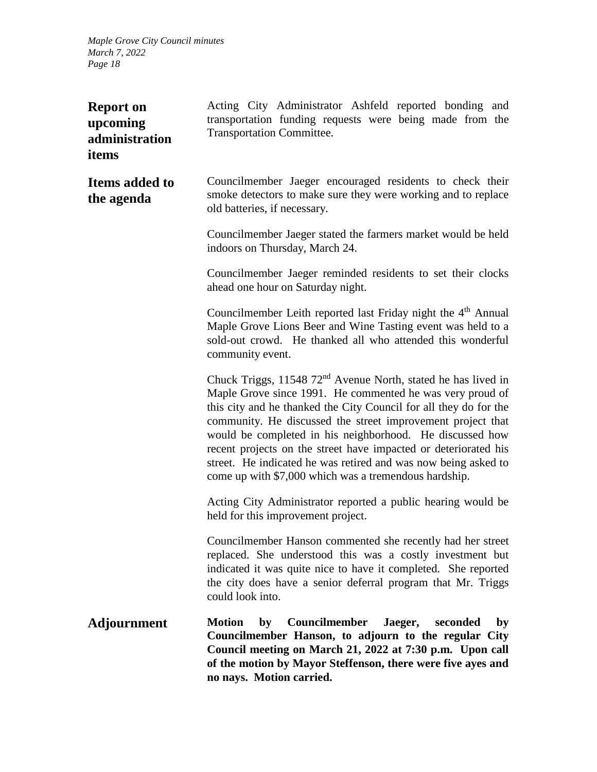| <b>Report on</b><br>upcoming<br>administration<br>items | Acting City Administrator Ashfeld reported bonding and<br>transportation funding requests were being made from the<br><b>Transportation Committee.</b>                                                                                                                                                                                                                                                                                                                                                                               |
|---------------------------------------------------------|--------------------------------------------------------------------------------------------------------------------------------------------------------------------------------------------------------------------------------------------------------------------------------------------------------------------------------------------------------------------------------------------------------------------------------------------------------------------------------------------------------------------------------------|
| <b>Items added to</b><br>the agenda                     | Councilmember Jaeger encouraged residents to check their<br>smoke detectors to make sure they were working and to replace<br>old batteries, if necessary.                                                                                                                                                                                                                                                                                                                                                                            |
|                                                         | Councilmember Jaeger stated the farmers market would be held<br>indoors on Thursday, March 24.                                                                                                                                                                                                                                                                                                                                                                                                                                       |
|                                                         | Councilmember Jaeger reminded residents to set their clocks<br>ahead one hour on Saturday night.                                                                                                                                                                                                                                                                                                                                                                                                                                     |
|                                                         | Councilmember Leith reported last Friday night the 4 <sup>th</sup> Annual<br>Maple Grove Lions Beer and Wine Tasting event was held to a<br>sold-out crowd. He thanked all who attended this wonderful<br>community event.                                                                                                                                                                                                                                                                                                           |
|                                                         | Chuck Triggs, 11548 72 <sup>nd</sup> Avenue North, stated he has lived in<br>Maple Grove since 1991. He commented he was very proud of<br>this city and he thanked the City Council for all they do for the<br>community. He discussed the street improvement project that<br>would be completed in his neighborhood. He discussed how<br>recent projects on the street have impacted or deteriorated his<br>street. He indicated he was retired and was now being asked to<br>come up with \$7,000 which was a tremendous hardship. |
|                                                         | Acting City Administrator reported a public hearing would be<br>held for this improvement project.                                                                                                                                                                                                                                                                                                                                                                                                                                   |
|                                                         | Councilmember Hanson commented she recently had her street<br>replaced. She understood this was a costly investment but<br>indicated it was quite nice to have it completed. She reported<br>the city does have a senior deferral program that Mr. Triggs<br>could look into.                                                                                                                                                                                                                                                        |
| <b>Adjournment</b>                                      | <b>Motion</b><br>Councilmember<br>Jaeger,<br>by<br>seconded<br>by<br>Councilmember Hanson, to adjourn to the regular City<br>Council meeting on March 21, 2022 at 7:30 p.m. Upon call<br>of the motion by Mayor Steffenson, there were five ayes and<br>no nays. Motion carried.                                                                                                                                                                                                                                                     |